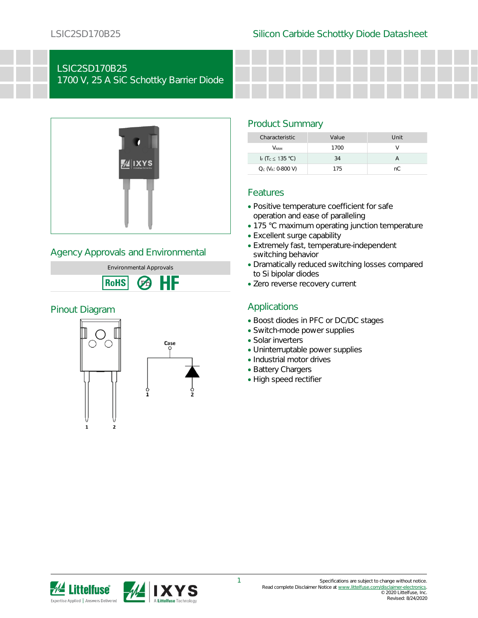# LSIC2SD170B25

1700 V, 25 A SiC Schottky Barrier Diode



## Agency Approvals and Environmental



## Pinout Diagram



## Product Summary

| Characteristic                            | Value | Unit |
|-------------------------------------------|-------|------|
| <b>V</b> <sub>RRM</sub>                   | 1700  |      |
| I <sub>F</sub> $(T_c \leq 135 \degree C)$ | 34    |      |
| $Q_c$ ( $V_R$ : 0-800 V)                  | 175   | nC.  |

## Features

- Positive temperature coefficient for safe operation and ease of paralleling
- 175 °C maximum operating junction temperature
- Excellent surge capability
- Extremely fast, temperature-independent switching behavior
- Dramatically reduced switching losses compared to Si bipolar diodes
- Zero reverse recovery current

## Applications

- Boost diodes in PFC or DC/DC stages
- Switch-mode power supplies
- Solar inverters
- Uninterruptable power supplies
- Industrial motor drives
- Battery Chargers
- High speed rectifier

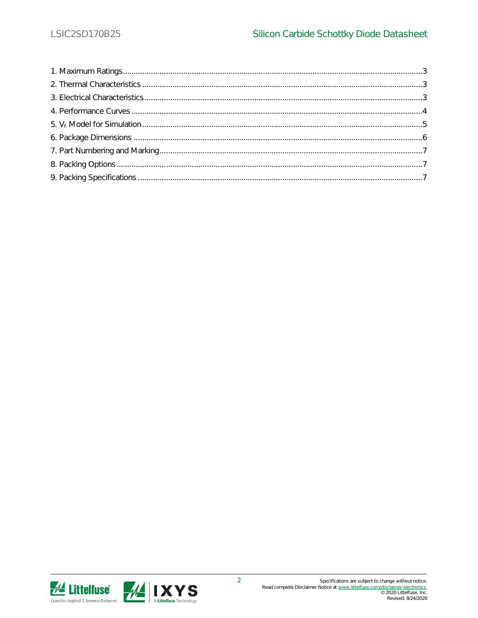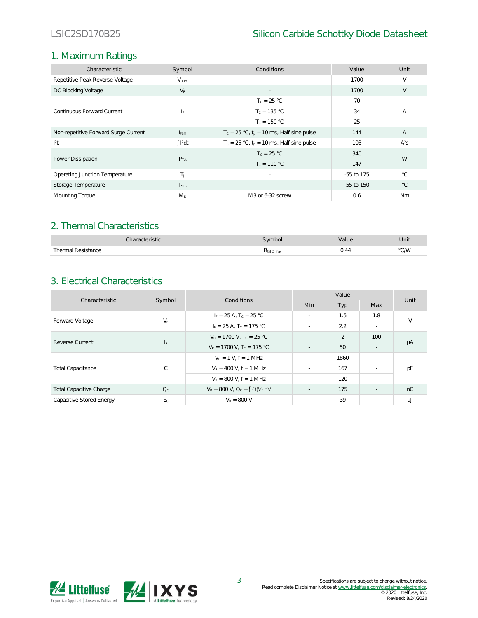## 1. Maximum Ratings

| Characteristic                       | Symbol                  | Conditions                                     | Value      | Unit           |  |
|--------------------------------------|-------------------------|------------------------------------------------|------------|----------------|--|
| Repetitive Peak Reverse Voltage      | $V_{\rm RRM}$           | $\sim$                                         | 1700       | V              |  |
| DC Blocking Voltage                  | $V_{R}$                 |                                                | 1700       | V              |  |
| Continuous Forward Current           |                         | $T_c = 25 °C$                                  | 70         | А              |  |
|                                      | IF.                     | $T_c = 135 °C$                                 | 34         |                |  |
|                                      |                         | $T_c = 150 °C$                                 | 25         |                |  |
| Non-repetitive Forward Surge Current | <b>I</b> <sub>ESM</sub> | $T_c = 25 °C$ , $t_p = 10$ ms, Half sine pulse | 144        | $\overline{A}$ |  |
| $ ^{2}$ t                            | $\int$ $I^2$ dt         | $T_c = 25 °C$ , $t_o = 10$ ms, Half sine pulse | 103        | $A^2S$         |  |
| Power Dissipation                    | $P_{Tot}$               | $T_c = 25 °C$                                  | 340        | W              |  |
|                                      |                         | $T_c = 110 °C$                                 | 147        |                |  |
| Operating Junction Temperature       | T <sub>L</sub>          | $\sim$                                         | -55 to 175 | $^{\circ}$ C.  |  |
| Storage Temperature                  | <b>T</b> <sub>STG</sub> |                                                | -55 to 150 | $^{\circ}$ C   |  |
| Mounting Torque                      | $M_{D}$                 | M3 or 6-32 screw                               | 0.6        | Nm             |  |

## 2. Thermal Characteristics

| ∠haracteristic          | vmbol      | alue         | Unit |
|-------------------------|------------|--------------|------|
| Thermal Resistance<br>. | KthJC, max | - 21<br>0.77 | °C/W |

## 3. Electrical Characteristics

| Characteristic                 | Symbol                    | Conditions                              | Value                    |               |                          | Unit   |
|--------------------------------|---------------------------|-----------------------------------------|--------------------------|---------------|--------------------------|--------|
|                                |                           |                                         | <b>Min</b>               | Typ           | Max                      |        |
| Forward Voltage                | $V_F$                     | $I_F = 25 A$ , T <sub>c</sub> = 25 °C   | ч.                       | 1.5           | 1.8                      | $\vee$ |
|                                |                           | $I_F = 25 A$ , $T_C = 175 °C$           | ч.                       | 2.2           | $\sim$                   |        |
| Reverse Current                | $\mathsf{I}_{\mathsf{R}}$ | $V_R = 1700$ V, $T_c = 25$ °C           | ÷,                       | $\mathcal{P}$ | 100                      | μA     |
|                                |                           | $V_R = 1700$ V, T <sub>c</sub> = 175 °C | $\sim$                   | 50            | $\sim$                   |        |
| <b>Total Capacitance</b>       | $\mathsf{C}$              | $V_R = 1 V$ . $f = 1 MHz$               | ч.                       | 1860          | $\overline{\phantom{a}}$ |        |
|                                |                           | $V_R = 400$ V, $f = 1$ MHz              | ч.                       | 167           | ч.                       | рF     |
|                                |                           | $V_R$ = 800 V, f = 1 MHz                | ч.                       | 120           | $\sim$                   |        |
| <b>Total Capacitive Charge</b> | Q <sub>c</sub>            | $V_R = 800$ V, $Q_C = \int Q(V) dV$     | $\overline{\phantom{a}}$ | 175           | ٠                        | nC     |
| Capacitive Stored Energy       | E <sub>c</sub>            | $V_R = 800 V$                           | ч.                       | 39            | $\sim$                   | μJ     |

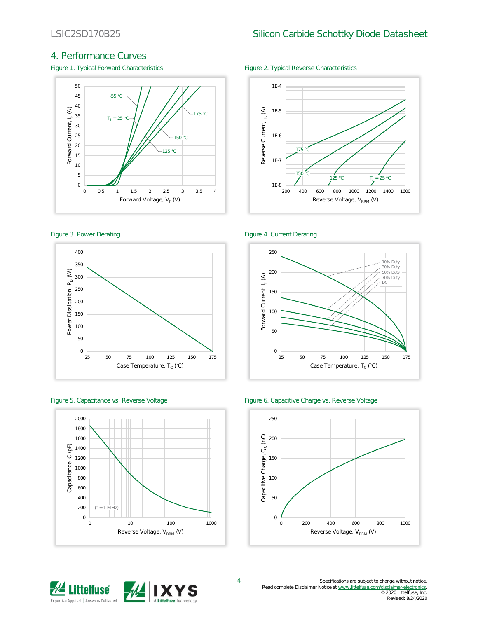## 4. Performance Curves

Figure 1. Typical Forward Characteristics Figure 2. Typical Reverse Characteristics











### Figure 3. Power Derating The Contract of the Figure 4. Current Derating





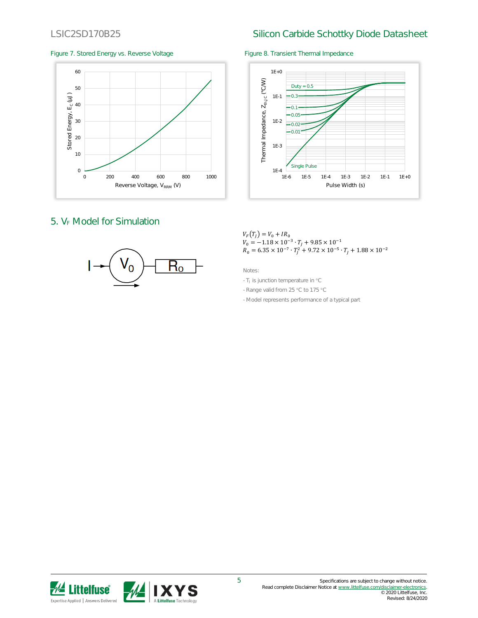## LSIC2SD170B25 Silicon Carbide Schottky Diode Datasheet

### Figure 7. Stored Energy vs. Reverse Voltage Figure 8. Transient Thermal Impedance



## 5.  $V_F$  Model for Simulation





### $V_F(T_I) = V_0 + IR_0$  $V_0 = -1.18 \times 10^{-3} \cdot T_J + 9.85 \times 10^{-1}$  $R_0 = 6.35 \times 10^{-7} \cdot T_f^2 + 9.72 \times 10^{-5} \cdot T_f + 1.88 \times 10^{-2}$

Notes:

- TJ is junction temperature in °C
- Range valid from 25 °C to 175 °C
- Model represents performance of a typical part

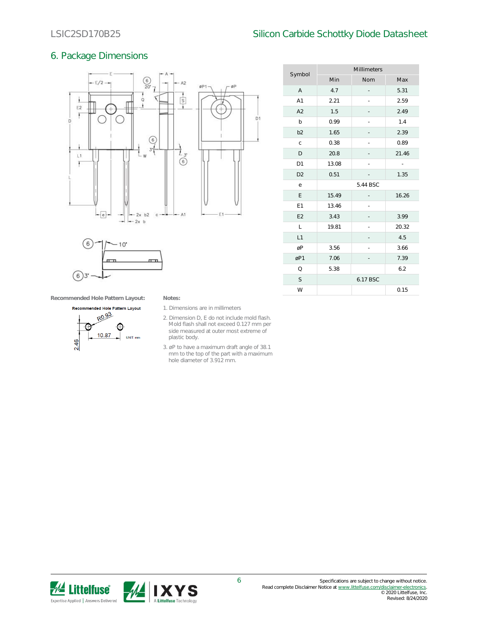## LSIC2SD170B25 Silicon Carbide Schottky Diode Datasheet

Millimeters

Symbol

## 6. Package Dimensions





| Jymour         | Min      | Nom      | Max   |  |
|----------------|----------|----------|-------|--|
| Α              | 4.7      |          | 5.31  |  |
| A1             | 2.21     |          | 2.59  |  |
| A2             | 1.5      |          | 2.49  |  |
| b              | 0.99     |          | 1.4   |  |
| b <sub>2</sub> | 1.65     |          | 2.39  |  |
| $\mathsf C$    | 0.38     |          | 0.89  |  |
| D              | 20.8     |          | 21.46 |  |
| D1             | 13.08    |          | ÷.    |  |
| D <sub>2</sub> | 0.51     |          | 1.35  |  |
| е              | 5.44 BSC |          |       |  |
| Ε              | 15.49    |          | 16.26 |  |
| E1             | 13.46    |          |       |  |
| E2             | 3.43     |          | 3.99  |  |
| L              | 19.81    |          | 20.32 |  |
| L1             |          |          | 4.5   |  |
| øP             | 3.56     |          | 3.66  |  |
| øP1            | 7.06     |          | 7.39  |  |
| Q              | 5.38     |          | 6.2   |  |
| S              |          | 6.17 BSC |       |  |
| W              |          |          | 0.15  |  |
|                |          |          |       |  |

**Recommended Hole Pattern Layout: Notes:**



- 1. Dimensions are in millimeters
- 2. Dimension D, E do not include mold flash. Mold flash shall not exceed 0.127 mm per side measured at outer most extreme of plastic body.
- 3. øP to have a maximum draft angle of 38.1 mm to the top of the part with a maximum hole diameter of 3.912 mm.